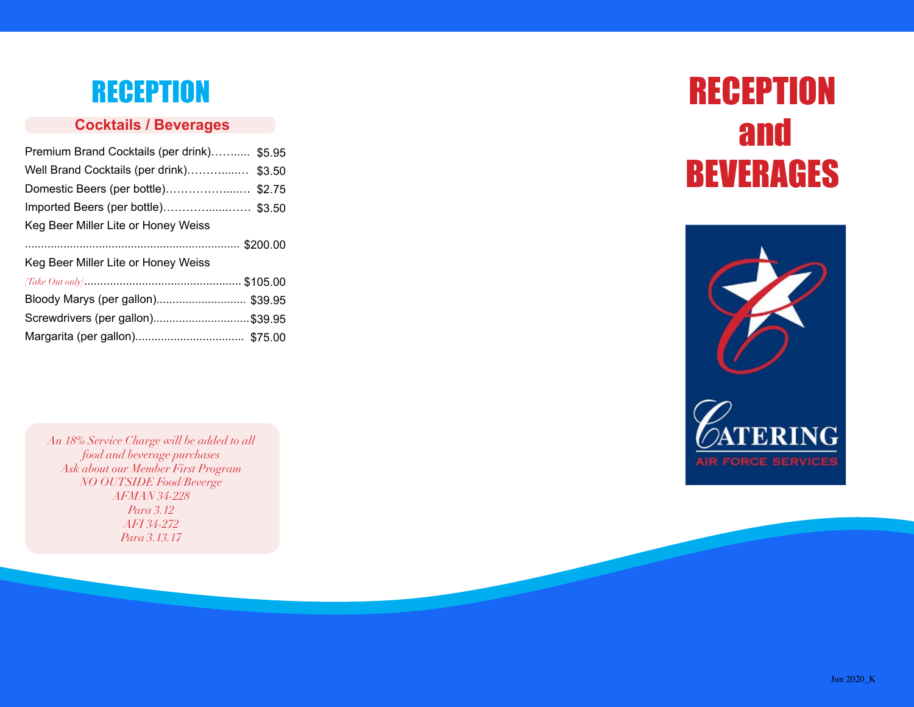## **RECEPTION**

## **Cocktails / Beverages**

| Premium Brand Cocktails (per drink) \$5.95 |
|--------------------------------------------|
| Well Brand Cocktails (per drink) \$3.50    |
| Domestic Beers (per bottle)\$2.75          |
| Imported Beers (per bottle)\$3.50          |
| Keg Beer Miller Lite or Honey Weiss        |
|                                            |
| Keg Beer Miller Lite or Honey Weiss        |
|                                            |
| Bloody Marys (per gallon) \$39.95          |
| Screwdrivers (per gallon)\$39.95           |
|                                            |

*An 18% Service Charge will be added to all food and beverage purchases Ask about our Member First Program NO OUTSIDE Food/Beverge AFMAN 34-228 Para 3.12 AFI 34-272 Para 3.13.17*

# **RECEPTION**  and BEVERAGES